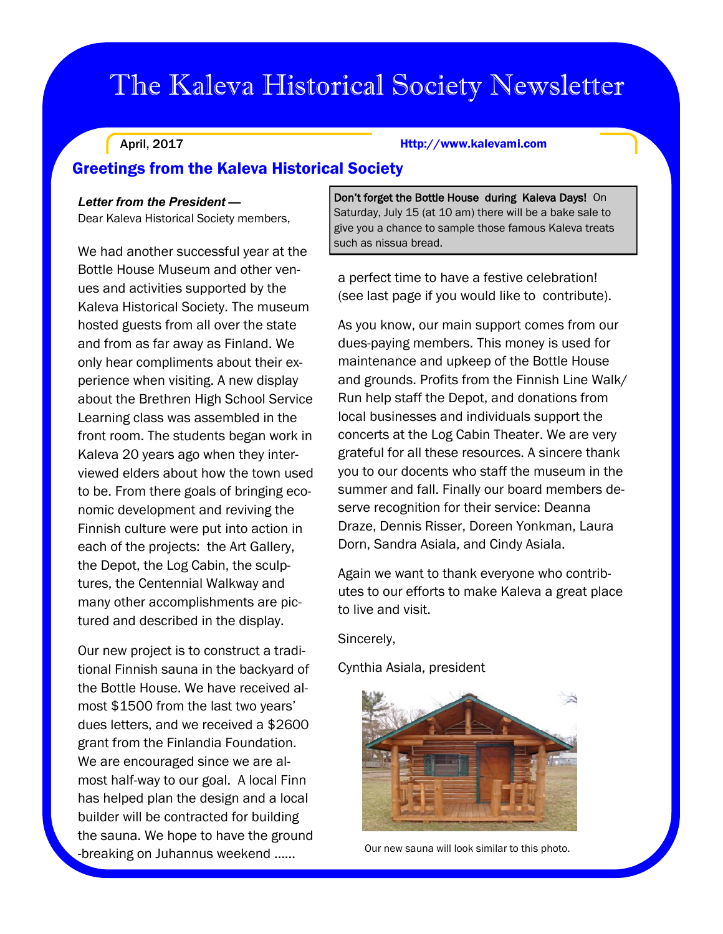# The Kaleva Historical Society Newsletter

April, 2017

#### Http://www.kalevami.com

## Greetings from the Kaleva Historical Society

## *Letter from the President —*

Dear Kaleva Historical Society members,

We had another successful year at the Bottle House Museum and other venues and activities supported by the Kaleva Historical Society. The museum hosted guests from all over the state and from as far away as Finland. We only hear compliments about their experience when visiting. A new display about the Brethren High School Service Learning class was assembled in the front room. The students began work in Kaleva 20 years ago when they interviewed elders about how the town used to be. From there goals of bringing economic development and reviving the Finnish culture were put into action in each of the projects: the Art Gallery, the Depot, the Log Cabin, the sculptures, the Centennial Walkway and many other accomplishments are pictured and described in the display.

Our new project is to construct a traditional Finnish sauna in the backyard of the Bottle House. We have received almost \$1500 from the last two years' dues letters, and we received a \$2600 grant from the Finlandia Foundation. We are encouraged since we are almost half-way to our goal. A local Finn has helped plan the design and a local builder will be contracted for building the sauna. We hope to have the ground -breaking on Juhannus weekend …...

Don't forget the Bottle House during Kaleva Days! On Saturday, July 15 (at 10 am) there will be a bake sale to give you a chance to sample those famous Kaleva treats such as nissua bread.

a perfect time to have a festive celebration! (see last page if you would like to contribute).

As you know, our main support comes from our dues-paying members. This money is used for maintenance and upkeep of the Bottle House and grounds. Profits from the Finnish Line Walk/ Run help staff the Depot, and donations from local businesses and individuals support the concerts at the Log Cabin Theater. We are very grateful for all these resources. A sincere thank you to our docents who staff the museum in the summer and fall. Finally our board members deserve recognition for their service: Deanna Draze, Dennis Risser, Doreen Yonkman, Laura Dorn, Sandra Asiala, and Cindy Asiala.

Again we want to thank everyone who contributes to our efforts to make Kaleva a great place to live and visit.

Sincerely,

Cynthia Asiala, president



Our new sauna will look similar to this photo.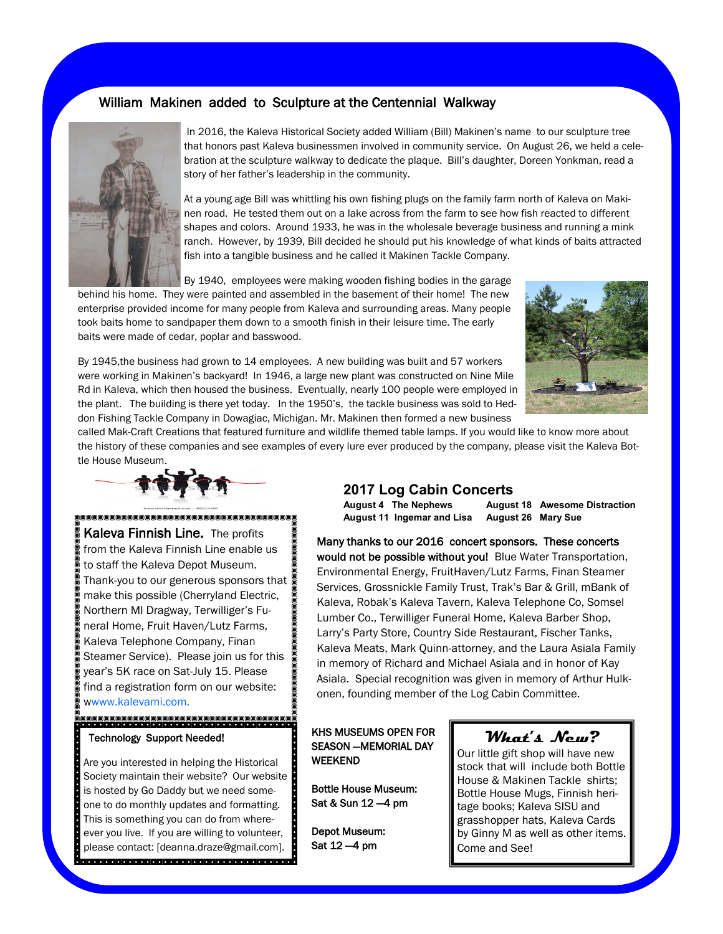## William Makinen added to Sculpture at the Centennial Walkway



In 2016, the Kaleva Historical Society added William (Bill) Makinen's name to our sculpture tree that honors past Kaleva businessmen involved in community service. On August 26, we held a celebration at the sculpture walkway to dedicate the plaque. Bill's daughter, Doreen Yonkman, read a story of her father's leadership in the community.

At a young age Bill was whittling his own fishing plugs on the family farm north of Kaleva on Makinen road. He tested them out on a lake across from the farm to see how fish reacted to different shapes and colors. Around 1933, he was in the wholesale beverage business and running a mink ranch. However, by 1939, Bill decided he should put his knowledge of what kinds of baits attracted fish into a tangible business and he called it Makinen Tackle Company.

By 1940, employees were making wooden fishing bodies in the garage

behind his home. They were painted and assembled in the basement of their home! The new enterprise provided income for many people from Kaleva and surrounding areas. Many people took baits home to sandpaper them down to a smooth finish in their leisure time. The early baits were made of cedar, poplar and basswood.



By 1945,the business had grown to 14 employees. A new building was built and 57 workers were working in Makinen's backyard! In 1946, a large new plant was constructed on Nine Mile Rd in Kaleva, which then housed the business. Eventually, nearly 100 people were employed in the plant. The building is there yet today. In the 1950's, the tackle business was sold to Heddon Fishing Tackle Company in Dowagiac, Michigan. Mr. Makinen then formed a new business

called Mak-Craft Creations that featured furniture and wildlife themed table lamps. If you would like to know more about the history of these companies and see examples of every lure ever produced by the company, please visit the Kaleva Bottle House Museum.



Kaleva Finnish Line. The profits 800 from the Kaleva Finnish Line enable us to staff the Kaleva Depot Museum. Thank-you to our generous sponsors that make this possible (Cherryland Electric, Northern MI Dragway, Terwilliger's Funeral Home, Fruit Haven/Lutz Farms, Kaleva Telephone Company, Finan Steamer Service). Please join us for this  $\blacksquare$ year's 5K race on Sat-July 15. Please find a registration form on our website: wwww.kalevami.com.

## Technology Support Needed!

Are you interested in helping the Historical Society maintain their website? Our website is hosted by Go Daddy but we need someone to do monthly updates and formatting. This is something you can do from whereever you live. If you are willing to volunteer, please contact: [deanna.draze@gmail.com]. 

## **2017 Log Cabin Concerts**

**August 11 Ingemar and Lisa August 26 Mary Sue**

**August 4 The Nephews August 18 Awesome Distraction**

Many thanks to our 2016 concert sponsors. These concerts would not be possible without you! Blue Water Transportation, Environmental Energy, FruitHaven/Lutz Farms, Finan Steamer Services, Grossnickle Family Trust, Trak's Bar & Grill, mBank of Kaleva, Robak's Kaleva Tavern, Kaleva Telephone Co, Somsel Lumber Co., Terwilliger Funeral Home, Kaleva Barber Shop, Larry's Party Store, Country Side Restaurant, Fischer Tanks, Kaleva Meats, Mark Quinn-attorney, and the Laura Asiala Family in memory of Richard and Michael Asiala and in honor of Kay Asiala. Special recognition was given in memory of Arthur Hulkonen, founding member of the Log Cabin Committee.

#### KHS MUSEUMS OPEN FOR SEASON —MEMORIAL DAY WEEKEND

Bottle House Museum: Sat & Sun 12 —4 pm

Depot Museum: Sat 12 —4 pm

## **What's New?**

Our little gift shop will have new stock that will include both Bottle House & Makinen Tackle shirts; Bottle House Mugs, Finnish heritage books; Kaleva SISU and grasshopper hats, Kaleva Cards by Ginny M as well as other items. Come and See!